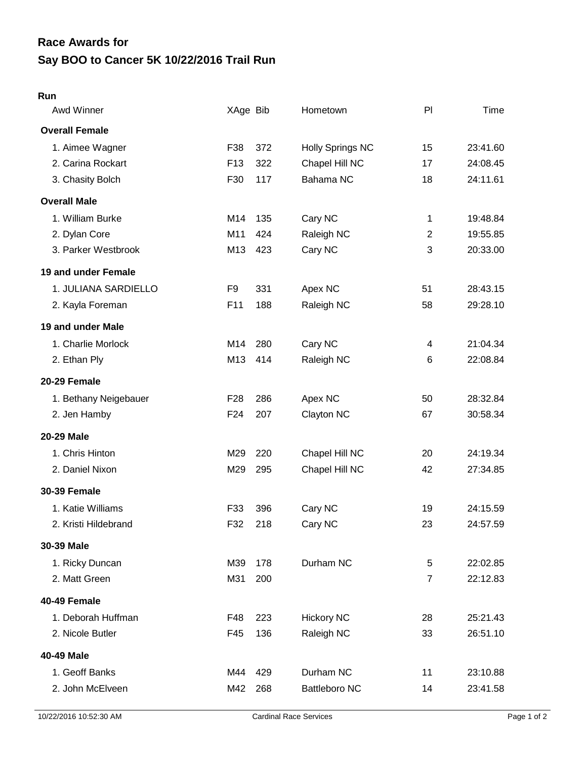## **Say BOO to Cancer 5K 10/22/2016 Trail Run Race Awards for**

## **Run**

| Awd Winner            | XAge Bib        |     | Hometown                | PI             | Time     |
|-----------------------|-----------------|-----|-------------------------|----------------|----------|
| <b>Overall Female</b> |                 |     |                         |                |          |
| 1. Aimee Wagner       | F38             | 372 | <b>Holly Springs NC</b> | 15             | 23:41.60 |
| 2. Carina Rockart     | F <sub>13</sub> | 322 | Chapel Hill NC          | 17             | 24:08.45 |
| 3. Chasity Bolch      | F30             | 117 | Bahama NC               | 18             | 24:11.61 |
| <b>Overall Male</b>   |                 |     |                         |                |          |
| 1. William Burke      | M14             | 135 | Cary NC                 | $\mathbf 1$    | 19:48.84 |
| 2. Dylan Core         | M11             | 424 | Raleigh NC              | $\overline{2}$ | 19:55.85 |
| 3. Parker Westbrook   | M13             | 423 | Cary NC                 | 3              | 20:33.00 |
| 19 and under Female   |                 |     |                         |                |          |
| 1. JULIANA SARDIELLO  | F <sub>9</sub>  | 331 | Apex NC                 | 51             | 28:43.15 |
| 2. Kayla Foreman      | F11             | 188 | Raleigh NC              | 58             | 29:28.10 |
| 19 and under Male     |                 |     |                         |                |          |
| 1. Charlie Morlock    | M14             | 280 | Cary NC                 | 4              | 21:04.34 |
| 2. Ethan Ply          | M13             | 414 | Raleigh NC              | 6              | 22:08.84 |
| 20-29 Female          |                 |     |                         |                |          |
| 1. Bethany Neigebauer | F <sub>28</sub> | 286 | Apex NC                 | 50             | 28:32.84 |
| 2. Jen Hamby          | F <sub>24</sub> | 207 | Clayton NC              | 67             | 30:58.34 |
| 20-29 Male            |                 |     |                         |                |          |
| 1. Chris Hinton       | M29             | 220 | Chapel Hill NC          | 20             | 24:19.34 |
| 2. Daniel Nixon       | M29             | 295 | Chapel Hill NC          | 42             | 27:34.85 |
| <b>30-39 Female</b>   |                 |     |                         |                |          |
| 1. Katie Williams     | F33             | 396 | Cary NC                 | 19             | 24:15.59 |
| 2. Kristi Hildebrand  | F32             | 218 | Cary NC                 | 23             | 24:57.59 |
| 30-39 Male            |                 |     |                         |                |          |
| 1. Ricky Duncan       | M39             | 178 | Durham NC               | 5              | 22:02.85 |
| 2. Matt Green         | M31             | 200 |                         | $\overline{7}$ | 22:12.83 |
| 40-49 Female          |                 |     |                         |                |          |
| 1. Deborah Huffman    | F48             | 223 | <b>Hickory NC</b>       | 28             | 25:21.43 |
| 2. Nicole Butler      | F45             | 136 | Raleigh NC              | 33             | 26:51.10 |
| 40-49 Male            |                 |     |                         |                |          |
| 1. Geoff Banks        | M44             | 429 | Durham NC               | 11             | 23:10.88 |
| 2. John McElveen      | M42             | 268 | <b>Battleboro NC</b>    | 14             | 23:41.58 |